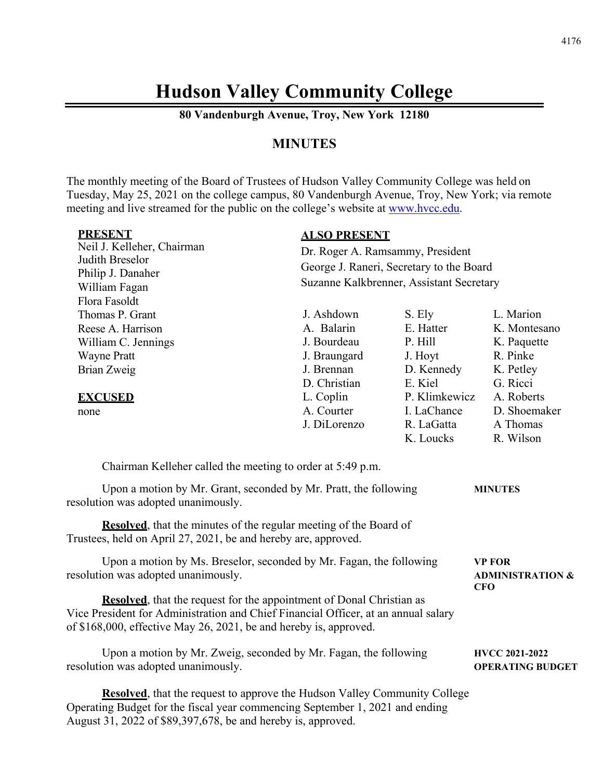# **Hudson Valley Community College**

**80 Vandenburgh Avenue, Troy, New York 12180**

### **MINUTES**

The monthly meeting of the Board of Trustees of Hudson Valley Community College was held on Tuesday, May 25, 2021 on the college campus, 80 Vandenburgh Avenue, Troy, New York; via remote meeting and live streamed for the public on the college's website at [www.hvcc.edu.](http://www.hvcc.edu/)

| <b>PRESENT</b><br>Neil J. Kelleher, Chairman<br>Judith Breselor<br>Philip J. Danaher<br>William Fagan<br>Flora Fasoldt                                                                                                                                                                                                                                | <b>ALSO PRESENT</b><br>Dr. Roger A. Ramsammy, President<br>George J. Raneri, Secretary to the Board<br>Suzanne Kalkbrenner, Assistant Secretary |                                                                    |                                                                               |  |
|-------------------------------------------------------------------------------------------------------------------------------------------------------------------------------------------------------------------------------------------------------------------------------------------------------------------------------------------------------|-------------------------------------------------------------------------------------------------------------------------------------------------|--------------------------------------------------------------------|-------------------------------------------------------------------------------|--|
| Thomas P. Grant<br>Reese A. Harrison<br>William C. Jennings<br><b>Wayne Pratt</b><br>Brian Zweig                                                                                                                                                                                                                                                      | J. Ashdown<br>A. Balarin<br>J. Bourdeau<br>J. Braungard<br>J. Brennan<br>D. Christian                                                           | S. Ely<br>E. Hatter<br>P. Hill<br>J. Hoyt<br>D. Kennedy<br>E. Kiel | L. Marion<br>K. Montesano<br>K. Paquette<br>R. Pinke<br>K. Petley<br>G. Ricci |  |
| <b>EXCUSED</b><br>none                                                                                                                                                                                                                                                                                                                                | L. Coplin<br>A. Courter<br>J. DiLorenzo                                                                                                         | P. Klimkewicz<br>I. LaChance<br>R. LaGatta<br>K. Loucks            | A. Roberts<br>D. Shoemaker<br>A Thomas<br>R. Wilson                           |  |
| Chairman Kelleher called the meeting to order at 5:49 p.m.<br>Upon a motion by Mr. Grant, seconded by Mr. Pratt, the following<br>resolution was adopted unanimously.<br><b>Resolved</b> , that the minutes of the regular meeting of the Board of<br>Trustees, held on April 27, 2021, be and hereby are, approved.                                  |                                                                                                                                                 |                                                                    | <b>MINUTES</b>                                                                |  |
| Upon a motion by Ms. Breselor, seconded by Mr. Fagan, the following<br>resolution was adopted unanimously.<br><b>Resolved</b> , that the request for the appointment of Donal Christian as<br>Vice President for Administration and Chief Financial Officer, at an annual salary<br>of \$168,000, effective May 26, 2021, be and hereby is, approved. |                                                                                                                                                 |                                                                    | <b>VP FOR</b><br><b>ADMINISTRATION &amp;</b><br><b>CFO</b>                    |  |
| Upon a motion by Mr. Zweig, seconded by Mr. Fagan, the following<br>resolution was adopted unanimously.                                                                                                                                                                                                                                               |                                                                                                                                                 |                                                                    | <b>HVCC 2021-2022</b><br><b>OPERATING BUDGET</b>                              |  |

**Resolved**, that the request to approve the Hudson Valley Community College Operating Budget for the fiscal year commencing September 1, 2021 and ending August 31, 2022 of \$89,397,678, be and hereby is, approved.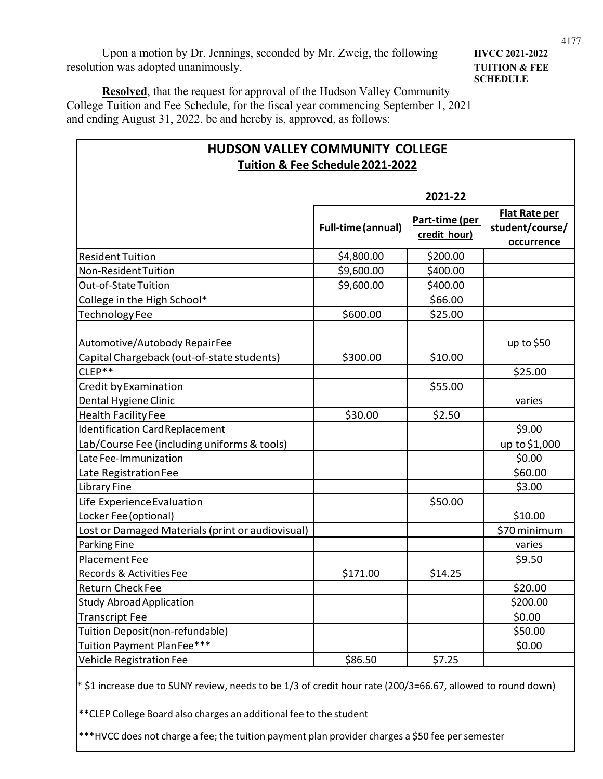Upon a motion by Dr. Jennings, seconded by Mr. Zweig, the following **HVCC 2021-2022** resolution was adopted unanimously. **TUITION & FEE**

 $\Gamma$ 

**SCHEDULE**

**Resolved**, that the request for approval of the Hudson Valley Community College Tuition and Fee Schedule, for the fiscal year commencing September 1, 2021 and ending August 31, 2022, be and hereby is, approved, as follows:

| <b>HUDSON VALLEY COMMUNITY COLLEGE</b><br>Tuition & Fee Schedule 2021-2022 |                           |                                       |                                  |  |  |
|----------------------------------------------------------------------------|---------------------------|---------------------------------------|----------------------------------|--|--|
| 2021-22                                                                    |                           |                                       |                                  |  |  |
|                                                                            | <b>Full-time (annual)</b> | <u>Part-time (per</u><br>credit hour) | Flat Rate per<br>student/course/ |  |  |
|                                                                            |                           |                                       | occurrence                       |  |  |
| <b>Resident Tuition</b>                                                    | \$4,800.00                | \$200.00                              |                                  |  |  |
| <b>Non-Resident Tuition</b>                                                | \$9,600.00                | \$400.00                              |                                  |  |  |
| Out-of-State Tuition                                                       | \$9,600.00                | \$400.00                              |                                  |  |  |
| College in the High School*                                                |                           | \$66.00                               |                                  |  |  |
| Technology Fee                                                             | \$600.00                  | \$25.00                               |                                  |  |  |
| Automotive/Autobody RepairFee                                              |                           |                                       | up to $$50$                      |  |  |
| Capital Chargeback (out-of-state students)                                 | \$300.00                  | \$10.00                               |                                  |  |  |
| CLEP**                                                                     |                           |                                       | \$25.00                          |  |  |
| Credit by Examination                                                      |                           | \$55.00                               |                                  |  |  |
| Dental Hygiene Clinic                                                      |                           |                                       | varies                           |  |  |
| <b>Health Facility Fee</b>                                                 | \$30.00                   | \$2.50                                |                                  |  |  |
| <b>Identification Card Replacement</b>                                     |                           |                                       | \$9.00                           |  |  |
| Lab/Course Fee (including uniforms & tools)                                |                           |                                       | up to \$1,000                    |  |  |
| Late Fee-Immunization                                                      |                           |                                       | \$0.00                           |  |  |
| Late Registration Fee                                                      |                           |                                       | \$60.00                          |  |  |
| <b>Library Fine</b>                                                        |                           |                                       | \$3.00                           |  |  |
| Life Experience Evaluation                                                 |                           | \$50.00                               |                                  |  |  |
| Locker Fee (optional)                                                      |                           |                                       | \$10.00                          |  |  |
| Lost or Damaged Materials (print or audiovisual)                           |                           |                                       | \$70 minimum                     |  |  |
| Parking Fine                                                               |                           |                                       | varies                           |  |  |
| Placement Fee                                                              |                           |                                       | \$9.50                           |  |  |
| Records & Activities Fee                                                   | \$171.00                  | \$14.25                               |                                  |  |  |
| <b>Return Check Fee</b>                                                    |                           |                                       | \$20.00                          |  |  |
| <b>Study Abroad Application</b>                                            |                           |                                       | \$200.00                         |  |  |
| <b>Transcript Fee</b>                                                      |                           |                                       | \$0.00                           |  |  |
| Tuition Deposit (non-refundable)                                           |                           |                                       | \$50.00                          |  |  |
| Tuition Payment PlanFee***                                                 |                           |                                       | \$0.00                           |  |  |
| <b>Vehicle Registration Fee</b>                                            | \$86.50                   | \$7.25                                |                                  |  |  |

 $*$  \$1 increase due to SUNY review, needs to be 1/3 of credit hour rate (200/3=66.67, allowed to round down)

\*\*CLEP College Board also charges an additional fee to the student

\*\*\*HVCC does not charge a fee; the tuition payment plan provider charges a \$50 fee per semester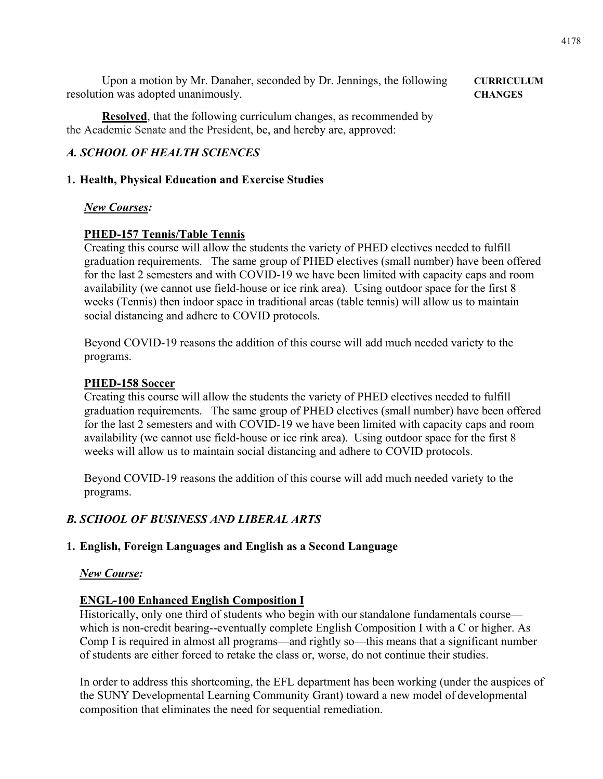Upon a motion by Mr. Danaher, seconded by Dr. Jennings, the following **CURRICULUM** resolution was adopted unanimously. **CHANGES**

**Resolved**, that the following curriculum changes, as recommended by the Academic Senate and the President, be, and hereby are, approved:

### *A. SCHOOL OF HEALTH SCIENCES*

### **1. Health, Physical Education and Exercise Studies**

### *New Courses:*

### **PHED-157 Tennis/Table Tennis**

Creating this course will allow the students the variety of PHED electives needed to fulfill graduation requirements. The same group of PHED electives (small number) have been offered for the last 2 semesters and with COVID-19 we have been limited with capacity caps and room availability (we cannot use field-house or ice rink area). Using outdoor space for the first 8 weeks (Tennis) then indoor space in traditional areas (table tennis) will allow us to maintain social distancing and adhere to COVID protocols.

Beyond COVID-19 reasons the addition of this course will add much needed variety to the programs.

### **PHED-158 Soccer**

Creating this course will allow the students the variety of PHED electives needed to fulfill graduation requirements. The same group of PHED electives (small number) have been offered for the last 2 semesters and with COVID-19 we have been limited with capacity caps and room availability (we cannot use field-house or ice rink area). Using outdoor space for the first 8 weeks will allow us to maintain social distancing and adhere to COVID protocols.

Beyond COVID-19 reasons the addition of this course will add much needed variety to the programs.

### *B. SCHOOL OF BUSINESS AND LIBERAL ARTS*

### **1. English, Foreign Languages and English as a Second Language**

### *New Course:*

### **ENGL-100 Enhanced English Composition I**

Historically, only one third of students who begin with our standalone fundamentals course which is non-credit bearing--eventually complete English Composition I with a C or higher. As Comp I is required in almost all programs—and rightly so—this means that a significant number of students are either forced to retake the class or, worse, do not continue their studies.

In order to address this shortcoming, the EFL department has been working (under the auspices of the SUNY Developmental Learning Community Grant) toward a new model of developmental composition that eliminates the need for sequential remediation.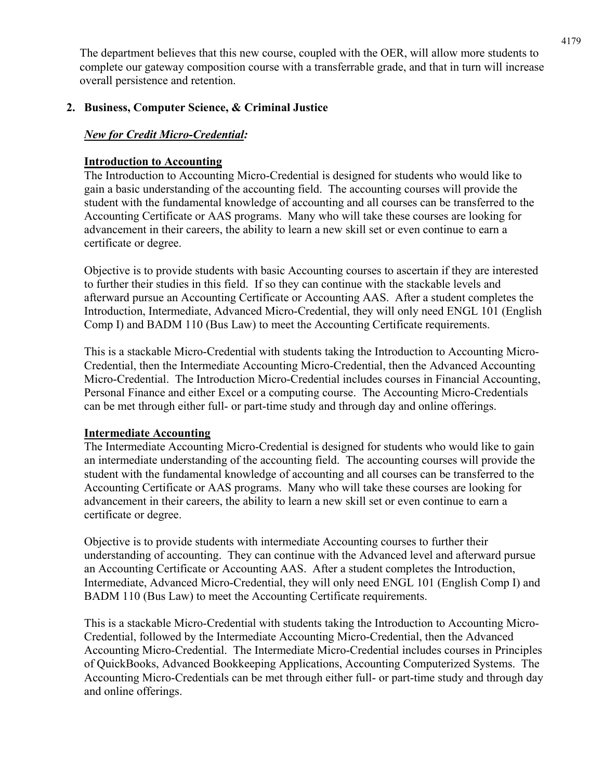The department believes that this new course, coupled with the OER, will allow more students to complete our gateway composition course with a transferrable grade, and that in turn will increase overall persistence and retention.

### **2. Business, Computer Science, & Criminal Justice**

### *New for Credit Micro-Credential:*

### **Introduction to Accounting**

The Introduction to Accounting Micro-Credential is designed for students who would like to gain a basic understanding of the accounting field. The accounting courses will provide the student with the fundamental knowledge of accounting and all courses can be transferred to the Accounting Certificate or AAS programs. Many who will take these courses are looking for advancement in their careers, the ability to learn a new skill set or even continue to earn a certificate or degree.

Objective is to provide students with basic Accounting courses to ascertain if they are interested to further their studies in this field. If so they can continue with the stackable levels and afterward pursue an Accounting Certificate or Accounting AAS. After a student completes the Introduction, Intermediate, Advanced Micro-Credential, they will only need ENGL 101 (English Comp I) and BADM 110 (Bus Law) to meet the Accounting Certificate requirements.

This is a stackable Micro-Credential with students taking the Introduction to Accounting Micro-Credential, then the Intermediate Accounting Micro-Credential, then the Advanced Accounting Micro-Credential. The Introduction Micro-Credential includes courses in Financial Accounting, Personal Finance and either Excel or a computing course. The Accounting Micro-Credentials can be met through either full- or part-time study and through day and online offerings.

### **Intermediate Accounting**

The Intermediate Accounting Micro-Credential is designed for students who would like to gain an intermediate understanding of the accounting field. The accounting courses will provide the student with the fundamental knowledge of accounting and all courses can be transferred to the Accounting Certificate or AAS programs. Many who will take these courses are looking for advancement in their careers, the ability to learn a new skill set or even continue to earn a certificate or degree.

Objective is to provide students with intermediate Accounting courses to further their understanding of accounting. They can continue with the Advanced level and afterward pursue an Accounting Certificate or Accounting AAS. After a student completes the Introduction, Intermediate, Advanced Micro-Credential, they will only need ENGL 101 (English Comp I) and BADM 110 (Bus Law) to meet the Accounting Certificate requirements.

This is a stackable Micro-Credential with students taking the Introduction to Accounting Micro-Credential, followed by the Intermediate Accounting Micro-Credential, then the Advanced Accounting Micro-Credential. The Intermediate Micro-Credential includes courses in Principles of QuickBooks, Advanced Bookkeeping Applications, Accounting Computerized Systems. The Accounting Micro-Credentials can be met through either full- or part-time study and through day and online offerings.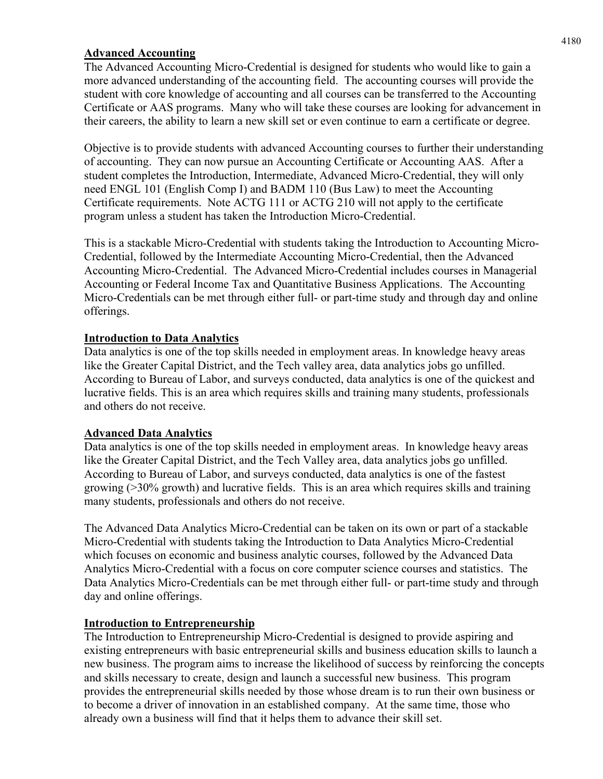### **Advanced Accounting**

The Advanced Accounting Micro-Credential is designed for students who would like to gain a more advanced understanding of the accounting field. The accounting courses will provide the student with core knowledge of accounting and all courses can be transferred to the Accounting Certificate or AAS programs. Many who will take these courses are looking for advancement in their careers, the ability to learn a new skill set or even continue to earn a certificate or degree.

Objective is to provide students with advanced Accounting courses to further their understanding of accounting. They can now pursue an Accounting Certificate or Accounting AAS. After a student completes the Introduction, Intermediate, Advanced Micro-Credential, they will only need ENGL 101 (English Comp I) and BADM 110 (Bus Law) to meet the Accounting Certificate requirements. Note ACTG 111 or ACTG 210 will not apply to the certificate program unless a student has taken the Introduction Micro-Credential.

This is a stackable Micro-Credential with students taking the Introduction to Accounting Micro-Credential, followed by the Intermediate Accounting Micro-Credential, then the Advanced Accounting Micro-Credential. The Advanced Micro-Credential includes courses in Managerial Accounting or Federal Income Tax and Quantitative Business Applications. The Accounting Micro-Credentials can be met through either full- or part-time study and through day and online offerings.

### **Introduction to Data Analytics**

Data analytics is one of the top skills needed in employment areas. In knowledge heavy areas like the Greater Capital District, and the Tech valley area, data analytics jobs go unfilled. According to Bureau of Labor, and surveys conducted, data analytics is one of the quickest and lucrative fields. This is an area which requires skills and training many students, professionals and others do not receive.

### **Advanced Data Analytics**

Data analytics is one of the top skills needed in employment areas. In knowledge heavy areas like the Greater Capital District, and the Tech Valley area, data analytics jobs go unfilled. According to Bureau of Labor, and surveys conducted, data analytics is one of the fastest growing (>30% growth) and lucrative fields. This is an area which requires skills and training many students, professionals and others do not receive.

The Advanced Data Analytics Micro-Credential can be taken on its own or part of a stackable Micro-Credential with students taking the Introduction to Data Analytics Micro-Credential which focuses on economic and business analytic courses, followed by the Advanced Data Analytics Micro-Credential with a focus on core computer science courses and statistics. The Data Analytics Micro-Credentials can be met through either full- or part-time study and through day and online offerings.

### **Introduction to Entrepreneurship**

The Introduction to Entrepreneurship Micro-Credential is designed to provide aspiring and existing entrepreneurs with basic entrepreneurial skills and business education skills to launch a new business. The program aims to increase the likelihood of success by reinforcing the concepts and skills necessary to create, design and launch a successful new business. This program provides the entrepreneurial skills needed by those whose dream is to run their own business or to become a driver of innovation in an established company. At the same time, those who already own a business will find that it helps them to advance their skill set.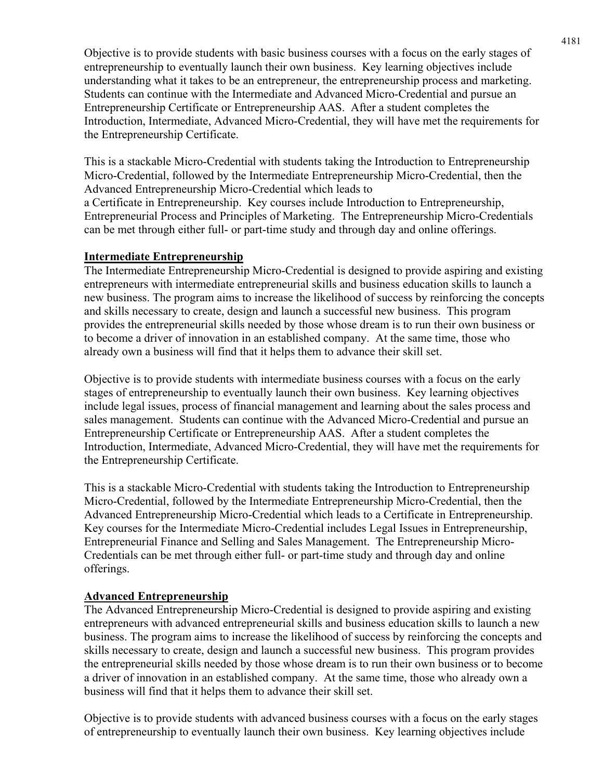Objective is to provide students with basic business courses with a focus on the early stages of entrepreneurship to eventually launch their own business. Key learning objectives include understanding what it takes to be an entrepreneur, the entrepreneurship process and marketing. Students can continue with the Intermediate and Advanced Micro-Credential and pursue an Entrepreneurship Certificate or Entrepreneurship AAS. After a student completes the Introduction, Intermediate, Advanced Micro-Credential, they will have met the requirements for the Entrepreneurship Certificate.

This is a stackable Micro-Credential with students taking the Introduction to Entrepreneurship Micro-Credential, followed by the Intermediate Entrepreneurship Micro-Credential, then the Advanced Entrepreneurship Micro-Credential which leads to a Certificate in Entrepreneurship. Key courses include Introduction to Entrepreneurship, Entrepreneurial Process and Principles of Marketing. The Entrepreneurship Micro-Credentials can be met through either full- or part-time study and through day and online offerings.

### **Intermediate Entrepreneurship**

The Intermediate Entrepreneurship Micro-Credential is designed to provide aspiring and existing entrepreneurs with intermediate entrepreneurial skills and business education skills to launch a new business. The program aims to increase the likelihood of success by reinforcing the concepts and skills necessary to create, design and launch a successful new business. This program provides the entrepreneurial skills needed by those whose dream is to run their own business or to become a driver of innovation in an established company. At the same time, those who already own a business will find that it helps them to advance their skill set.

Objective is to provide students with intermediate business courses with a focus on the early stages of entrepreneurship to eventually launch their own business. Key learning objectives include legal issues, process of financial management and learning about the sales process and sales management. Students can continue with the Advanced Micro-Credential and pursue an Entrepreneurship Certificate or Entrepreneurship AAS. After a student completes the Introduction, Intermediate, Advanced Micro-Credential, they will have met the requirements for the Entrepreneurship Certificate.

This is a stackable Micro-Credential with students taking the Introduction to Entrepreneurship Micro-Credential, followed by the Intermediate Entrepreneurship Micro-Credential, then the Advanced Entrepreneurship Micro-Credential which leads to a Certificate in Entrepreneurship. Key courses for the Intermediate Micro-Credential includes Legal Issues in Entrepreneurship, Entrepreneurial Finance and Selling and Sales Management. The Entrepreneurship Micro-Credentials can be met through either full- or part-time study and through day and online offerings.

### **Advanced Entrepreneurship**

The Advanced Entrepreneurship Micro-Credential is designed to provide aspiring and existing entrepreneurs with advanced entrepreneurial skills and business education skills to launch a new business. The program aims to increase the likelihood of success by reinforcing the concepts and skills necessary to create, design and launch a successful new business. This program provides the entrepreneurial skills needed by those whose dream is to run their own business or to become a driver of innovation in an established company. At the same time, those who already own a business will find that it helps them to advance their skill set.

Objective is to provide students with advanced business courses with a focus on the early stages of entrepreneurship to eventually launch their own business. Key learning objectives include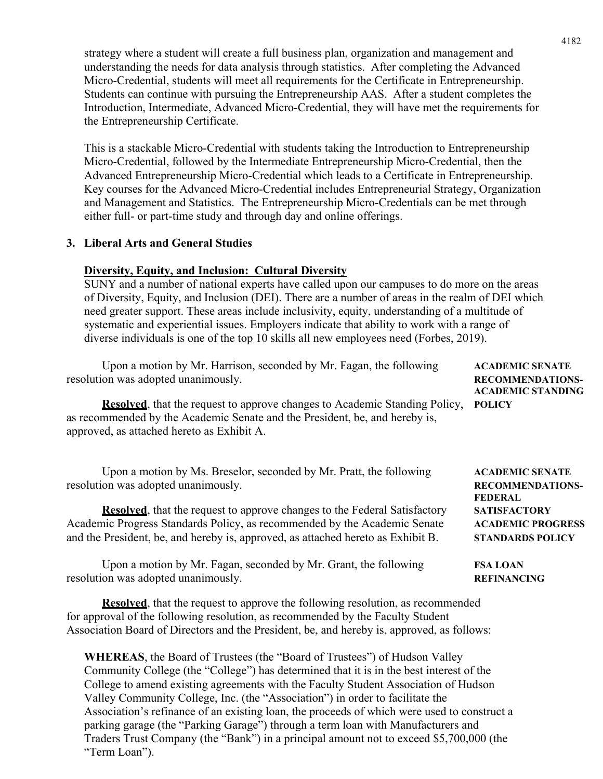strategy where a student will create a full business plan, organization and management and understanding the needs for data analysis through statistics. After completing the Advanced Micro-Credential, students will meet all requirements for the Certificate in Entrepreneurship. Students can continue with pursuing the Entrepreneurship AAS. After a student completes the Introduction, Intermediate, Advanced Micro-Credential, they will have met the requirements for the Entrepreneurship Certificate.

This is a stackable Micro-Credential with students taking the Introduction to Entrepreneurship Micro-Credential, followed by the Intermediate Entrepreneurship Micro-Credential, then the Advanced Entrepreneurship Micro-Credential which leads to a Certificate in Entrepreneurship. Key courses for the Advanced Micro-Credential includes Entrepreneurial Strategy, Organization and Management and Statistics. The Entrepreneurship Micro-Credentials can be met through either full- or part-time study and through day and online offerings.

### **3. Liberal Arts and General Studies**

### **Diversity, Equity, and Inclusion: Cultural Diversity**

SUNY and a number of national experts have called upon our campuses to do more on the areas of Diversity, Equity, and Inclusion (DEI). There are a number of areas in the realm of DEI which need greater support. These areas include inclusivity, equity, understanding of a multitude of systematic and experiential issues. Employers indicate that ability to work with a range of diverse individuals is one of the top 10 skills all new employees need (Forbes, 2019).

| Upon a motion by Mr. Harrison, seconded by Mr. Fagan, the following<br>resolution was adopted unanimously.<br><b>Resolved</b> , that the request to approve changes to Academic Standing Policy,<br>as recommended by the Academic Senate and the President, be, and hereby is,<br>approved, as attached hereto as Exhibit A.                                    | <b>ACADEMIC SENATE</b><br><b>RECOMMENDATIONS-</b><br><b>ACADEMIC STANDING</b><br><b>POLICY</b>                                                    |
|------------------------------------------------------------------------------------------------------------------------------------------------------------------------------------------------------------------------------------------------------------------------------------------------------------------------------------------------------------------|---------------------------------------------------------------------------------------------------------------------------------------------------|
| Upon a motion by Ms. Breselor, seconded by Mr. Pratt, the following<br>resolution was adopted unanimously.<br><b>Resolved</b> , that the request to approve changes to the Federal Satisfactory<br>Academic Progress Standards Policy, as recommended by the Academic Senate<br>and the President, be, and hereby is, approved, as attached hereto as Exhibit B. | <b>ACADEMIC SENATE</b><br><b>RECOMMENDATIONS-</b><br><b>FEDERAL</b><br><b>SATISFACTORY</b><br><b>ACADEMIC PROGRESS</b><br><b>STANDARDS POLICY</b> |
| Upon a motion by Mr. Fagan, seconded by Mr. Grant, the following<br>resolution was adopted unanimously.                                                                                                                                                                                                                                                          | <b>FSA LOAN</b><br><b>REFINANCING</b>                                                                                                             |
| <b>Resolved</b> , that the request to approve the following resolution, as recommended<br>for approval of the following resolution, as recommended by the Faculty Student<br>Association Board of Directors and the President, be, and hereby is, approved, as follows:                                                                                          |                                                                                                                                                   |
|                                                                                                                                                                                                                                                                                                                                                                  |                                                                                                                                                   |

**WHEREAS**, the Board of Trustees (the "Board of Trustees") of Hudson Valley Community College (the "College") has determined that it is in the best interest of the College to amend existing agreements with the Faculty Student Association of Hudson Valley Community College, Inc. (the "Association") in order to facilitate the Association's refinance of an existing loan, the proceeds of which were used to construct a parking garage (the "Parking Garage") through a term loan with Manufacturers and Traders Trust Company (the "Bank") in a principal amount not to exceed \$5,700,000 (the "Term Loan").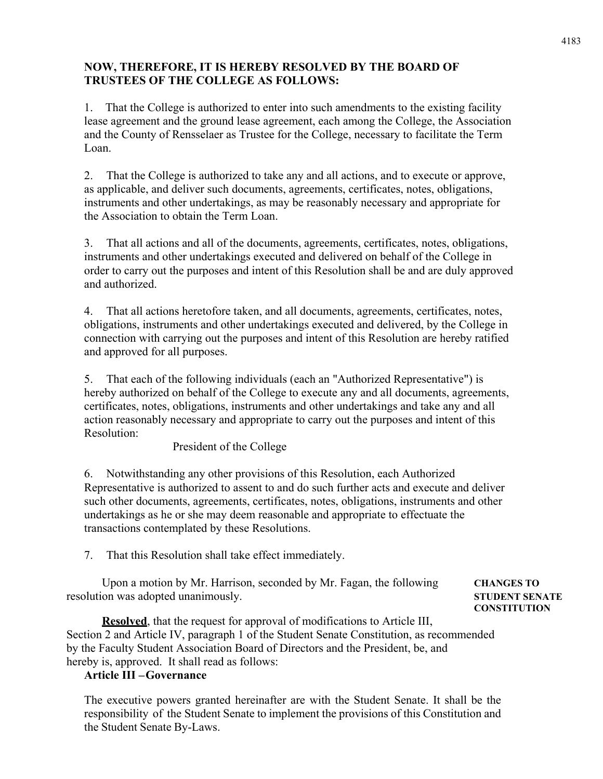### **NOW, THEREFORE, IT IS HEREBY RESOLVED BY THE BOARD OF TRUSTEES OF THE COLLEGE AS FOLLOWS:**

1. That the College is authorized to enter into such amendments to the existing facility lease agreement and the ground lease agreement, each among the College, the Association and the County of Rensselaer as Trustee for the College, necessary to facilitate the Term Loan.

2. That the College is authorized to take any and all actions, and to execute or approve, as applicable, and deliver such documents, agreements, certificates, notes, obligations, instruments and other undertakings, as may be reasonably necessary and appropriate for the Association to obtain the Term Loan.

3. That all actions and all of the documents, agreements, certificates, notes, obligations, instruments and other undertakings executed and delivered on behalf of the College in order to carry out the purposes and intent of this Resolution shall be and are duly approved and authorized.

4. That all actions heretofore taken, and all documents, agreements, certificates, notes, obligations, instruments and other undertakings executed and delivered, by the College in connection with carrying out the purposes and intent of this Resolution are hereby ratified and approved for all purposes.

5. That each of the following individuals (each an "Authorized Representative") is hereby authorized on behalf of the College to execute any and all documents, agreements, certificates, notes, obligations, instruments and other undertakings and take any and all action reasonably necessary and appropriate to carry out the purposes and intent of this Resolution:

President of the College

6. Notwithstanding any other provisions of this Resolution, each Authorized Representative is authorized to assent to and do such further acts and execute and deliver such other documents, agreements, certificates, notes, obligations, instruments and other undertakings as he or she may deem reasonable and appropriate to effectuate the transactions contemplated by these Resolutions.

7. That this Resolution shall take effect immediately.

Upon a motion by Mr. Harrison, seconded by Mr. Fagan, the following **CHANGES TO** resolution was adopted unanimously. **STUDENT SENATE**

**CONSTITUTION**

**Resolved**, that the request for approval of modifications to Article III, Section 2 and Article IV, paragraph 1 of the Student Senate Constitution, as recommended by the Faculty Student Association Board of Directors and the President, be, and hereby is, approved. It shall read as follows:

### **Article III –Governance**

The executive powers granted hereinafter are with the Student Senate. It shall be the responsibility of the Student Senate to implement the provisions of this Constitution and the Student Senate By-Laws.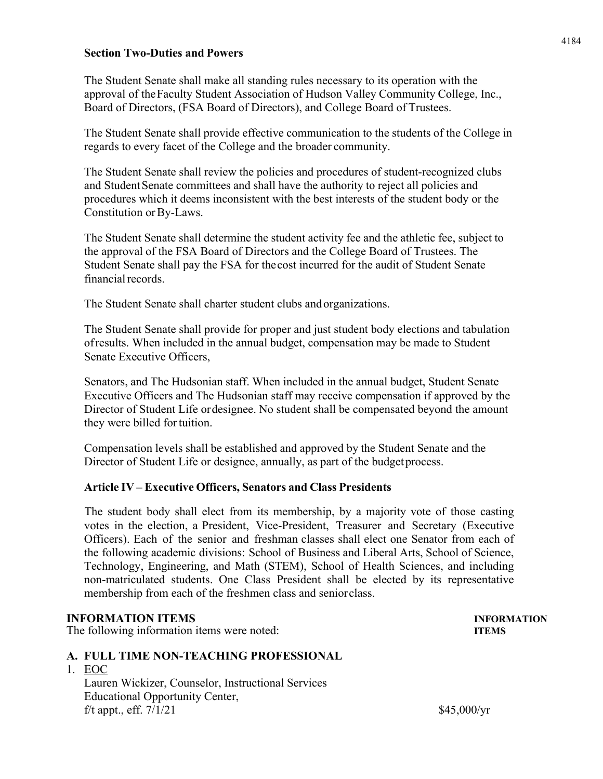### **Section Two-Duties and Powers**

The Student Senate shall make all standing rules necessary to its operation with the approval of theFaculty Student Association of Hudson Valley Community College, Inc., Board of Directors, (FSA Board of Directors), and College Board of Trustees.

The Student Senate shall provide effective communication to the students of the College in regards to every facet of the College and the broader community.

The Student Senate shall review the policies and procedures of student-recognized clubs and StudentSenate committees and shall have the authority to reject all policies and procedures which it deems inconsistent with the best interests of the student body or the Constitution orBy-Laws.

The Student Senate shall determine the student activity fee and the athletic fee, subject to the approval of the FSA Board of Directors and the College Board of Trustees. The Student Senate shall pay the FSA for thecost incurred for the audit of Student Senate financial records.

The Student Senate shall charter student clubs andorganizations.

The Student Senate shall provide for proper and just student body elections and tabulation ofresults. When included in the annual budget, compensation may be made to Student Senate Executive Officers,

Senators, and The Hudsonian staff. When included in the annual budget, Student Senate Executive Officers and The Hudsonian staff may receive compensation if approved by the Director of Student Life ordesignee. No student shall be compensated beyond the amount they were billed fortuition.

Compensation levels shall be established and approved by the Student Senate and the Director of Student Life or designee, annually, as part of the budget process.

### **Article IV – Executive Officers, Senators and Class Presidents**

The student body shall elect from its membership, by a majority vote of those casting votes in the election, a President, Vice-President, Treasurer and Secretary (Executive Officers). Each of the senior and freshman classes shall elect one Senator from each of the following academic divisions: School of Business and Liberal Arts, School of Science, Technology, Engineering, and Math (STEM), School of Health Sciences, and including non-matriculated students. One Class President shall be elected by its representative membership from each of the freshmen class and seniorclass.

### **INFORMATION ITEMS INFORMATION**

The following information items were noted: **ITEMS**

### **A. FULL TIME NON-TEACHING PROFESSIONAL**

1. EOC Lauren Wickizer, Counselor, Instructional Services Educational Opportunity Center, f/t appt., eff.  $7/1/21$  \$45,000/yr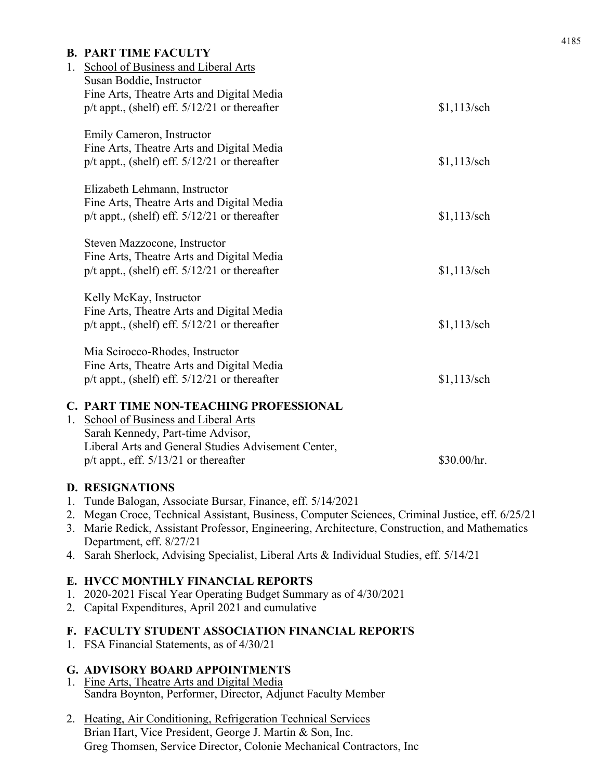|    | <b>B. PART TIME FACULTY</b><br>1. School of Business and Liberal Arts<br>Susan Boddie, Instructor<br>Fine Arts, Theatre Arts and Digital Media<br>$p/t$ appt., (shelf) eff. $5/12/21$ or thereafter                           | $$1,113$ /sch |
|----|-------------------------------------------------------------------------------------------------------------------------------------------------------------------------------------------------------------------------------|---------------|
|    | Emily Cameron, Instructor<br>Fine Arts, Theatre Arts and Digital Media<br>$p/t$ appt., (shelf) eff. $5/12/21$ or thereafter                                                                                                   | $$1,113$ /sch |
|    | Elizabeth Lehmann, Instructor<br>Fine Arts, Theatre Arts and Digital Media<br>$p/t$ appt., (shelf) eff. $5/12/21$ or thereafter                                                                                               | $$1,113$ /sch |
|    | Steven Mazzocone, Instructor<br>Fine Arts, Theatre Arts and Digital Media<br>$p/t$ appt., (shelf) eff. $5/12/21$ or thereafter                                                                                                | $$1,113$ /sch |
|    | Kelly McKay, Instructor<br>Fine Arts, Theatre Arts and Digital Media<br>$p/t$ appt., (shelf) eff. $5/12/21$ or thereafter                                                                                                     | $$1,113$ /sch |
|    | Mia Scirocco-Rhodes, Instructor<br>Fine Arts, Theatre Arts and Digital Media<br>$p/t$ appt., (shelf) eff. $5/12/21$ or thereafter                                                                                             | $$1,113$ /sch |
| 1. | C. PART TIME NON-TEACHING PROFESSIONAL<br><b>School of Business and Liberal Arts</b><br>Sarah Kennedy, Part-time Advisor,<br>Liberal Arts and General Studies Advisement Center,<br>$p/t$ appt., eff. $5/13/21$ or thereafter | \$30.00/hr.   |
|    | <b>D. RESIGNATIONS</b><br>1. Tunde Balogan, Associate Bursar, Finance, eff. 5/14/2021<br>2. Megan Croce, Technical Assistant, Business, Computer Sciences, Criminal Justice, eff. 6/25/21                                     |               |

- 3. Marie Redick, Assistant Professor, Engineering, Architecture, Construction, and Mathematics Department, eff. 8/27/21
- 4. Sarah Sherlock, Advising Specialist, Liberal Arts & Individual Studies, eff. 5/14/21

### **E. HVCC MONTHLY FINANCIAL REPORTS**

- 1. 2020-2021 Fiscal Year Operating Budget Summary as of 4/30/2021
- 2. Capital Expenditures, April 2021 and cumulative

### **F. FACULTY STUDENT ASSOCIATION FINANCIAL REPORTS**

1. FSA Financial Statements, as of 4/30/21

### **G. ADVISORY BOARD APPOINTMENTS**

- 1. Fine Arts, Theatre Arts and Digital Media Sandra Boynton, Performer, Director, Adjunct Faculty Member
- 2. Heating, Air Conditioning, Refrigeration Technical Services Brian Hart, Vice President, George J. Martin & Son, Inc. Greg Thomsen, Service Director, Colonie Mechanical Contractors, Inc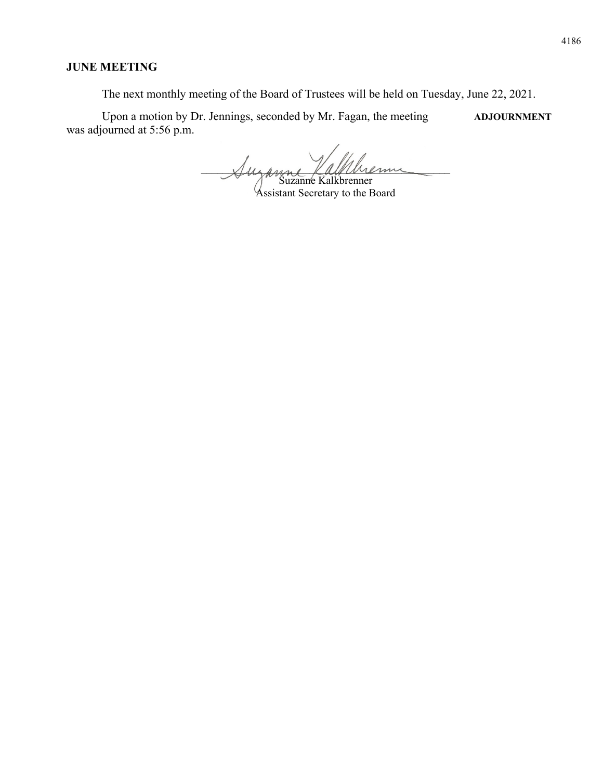### **JUNE MEETING**

The next monthly meeting of the Board of Trustees will be held on Tuesday, June 22, 2021.

Upon a motion by Dr. Jennings, seconded by Mr. Fagan, the meeting **ADJOURNMENT** was adjourned at 5:56 p.m.

Suzanne Vallbrenn Suzanne Kalkbrenner

Assistant Secretary to the Board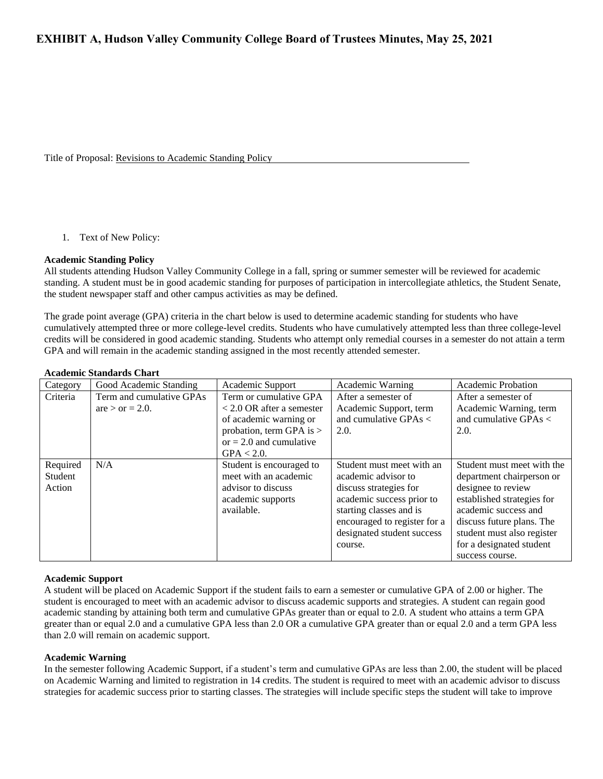Title of Proposal: Revisions to Academic Standing Policy

#### 1. Text of New Policy:

#### **Academic Standing Policy**

All students attending Hudson Valley Community College in a fall, spring or summer semester will be reviewed for academic standing. A student must be in good academic standing for purposes of participation in intercollegiate athletics, the Student Senate, the student newspaper staff and other campus activities as may be defined.

The grade point average (GPA) criteria in the chart below is used to determine academic standing for students who have cumulatively attempted three or more college-level credits. Students who have cumulatively attempted less than three college-level credits will be considered in good academic standing. Students who attempt only remedial courses in a semester do not attain a term GPA and will remain in the academic standing assigned in the most recently attended semester.

| Category            | Good Academic Standing   | Academic Support                                  | Academic Warning                                 | <b>Academic Probation</b>                               |  |  |
|---------------------|--------------------------|---------------------------------------------------|--------------------------------------------------|---------------------------------------------------------|--|--|
| Criteria            | Term and cumulative GPAs | Term or cumulative GPA                            | After a semester of                              | After a semester of                                     |  |  |
|                     | $are > or = 2.0$ .       | $<$ 2.0 OR after a semester                       | Academic Support, term                           | Academic Warning, term                                  |  |  |
|                     |                          | of academic warning or                            | and cumulative GPAs $\lt$                        | and cumulative GPAs $<$                                 |  |  |
|                     |                          | probation, term GPA is $>$                        | 2.0.                                             | 2.0.                                                    |  |  |
|                     |                          | or $= 2.0$ and cumulative                         |                                                  |                                                         |  |  |
|                     |                          | $GPA < 2.0$ .                                     |                                                  |                                                         |  |  |
| Required<br>Student | N/A                      | Student is encouraged to<br>meet with an academic | Student must meet with an<br>academic advisor to | Student must meet with the<br>department chairperson or |  |  |
| Action              |                          | advisor to discuss                                | discuss strategies for                           | designee to review                                      |  |  |
|                     |                          | academic supports                                 | academic success prior to                        | established strategies for                              |  |  |
|                     |                          | available.                                        | starting classes and is                          | academic success and                                    |  |  |
|                     |                          |                                                   | encouraged to register for a                     | discuss future plans. The                               |  |  |
|                     |                          |                                                   | designated student success                       | student must also register                              |  |  |
|                     |                          |                                                   | course.                                          | for a designated student                                |  |  |
|                     |                          |                                                   |                                                  | success course.                                         |  |  |

### **Academic Standards Chart**

#### **Academic Support**

A student will be placed on Academic Support if the student fails to earn a semester or cumulative GPA of 2.00 or higher. The student is encouraged to meet with an academic advisor to discuss academic supports and strategies. A student can regain good academic standing by attaining both term and cumulative GPAs greater than or equal to 2.0. A student who attains a term GPA greater than or equal 2.0 and a cumulative GPA less than 2.0 OR a cumulative GPA greater than or equal 2.0 and a term GPA less than 2.0 will remain on academic support.

#### **Academic Warning**

In the semester following Academic Support, if a student's term and cumulative GPAs are less than 2.00, the student will be placed on Academic Warning and limited to registration in 14 credits. The student is required to meet with an academic advisor to discuss strategies for academic success prior to starting classes. The strategies will include specific steps the student will take to improve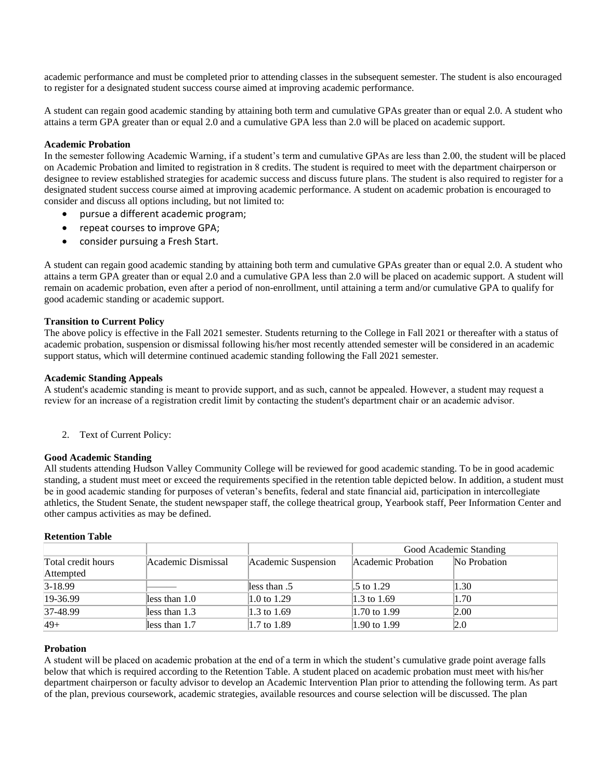academic performance and must be completed prior to attending classes in the subsequent semester. The student is also encouraged to register for a designated student success course aimed at improving academic performance.

A student can regain good academic standing by attaining both term and cumulative GPAs greater than or equal 2.0. A student who attains a term GPA greater than or equal 2.0 and a cumulative GPA less than 2.0 will be placed on academic support.

#### **Academic Probation**

In the semester following Academic Warning, if a student's term and cumulative GPAs are less than 2.00, the student will be placed on Academic Probation and limited to registration in 8 credits. The student is required to meet with the department chairperson or designee to review established strategies for academic success and discuss future plans. The student is also required to register for a designated student success course aimed at improving academic performance. A student on academic probation is encouraged to consider and discuss all options including, but not limited to:

- pursue a different academic program;
- repeat courses to improve GPA;
- consider pursuing a Fresh Start.

A student can regain good academic standing by attaining both term and cumulative GPAs greater than or equal 2.0. A student who attains a term GPA greater than or equal 2.0 and a cumulative GPA less than 2.0 will be placed on academic support. A student will remain on academic probation, even after a period of non-enrollment, until attaining a term and/or cumulative GPA to qualify for good academic standing or academic support.

#### **Transition to Current Policy**

The above policy is effective in the Fall 2021 semester. Students returning to the College in Fall 2021 or thereafter with a status of academic probation, suspension or dismissal following his/her most recently attended semester will be considered in an academic support status, which will determine continued academic standing following the Fall 2021 semester.

#### **Academic Standing Appeals**

A student's academic standing is meant to provide support, and as such, cannot be appealed. However, a student may request a review for an increase of a registration credit limit by contacting the student's department chair or an academic advisor.

2. Text of Current Policy:

#### **Good Academic Standing**

All students attending Hudson Valley Community College will be reviewed for good academic standing. To be in good academic standing, a student must meet or exceed the requirements specified in the retention table depicted below. In addition, a student must be in good academic standing for purposes of veteran's benefits, federal and state financial aid, participation in intercollegiate athletics, the Student Senate, the student newspaper staff, the college theatrical group, Yearbook staff, Peer Information Center and other campus activities as may be defined.

#### **Retention Table**

|                    |                    |                     |                    | Good Academic Standing |
|--------------------|--------------------|---------------------|--------------------|------------------------|
| Total credit hours | Academic Dismissal | Academic Suspension | Academic Probation | No Probation           |
| Attempted          |                    |                     |                    |                        |
| 3-18.99            |                    | less than .5        | .5 to 1.29         | $ 1.30\rangle$         |
| 19-36.99           | less than 1.0      | 1.0 to 1.29         | 1.3 to 1.69        | 1.70                   |
| 37-48.99           | less than 1.3      | 1.3 to 1.69         | 1.70 to 1.99       | 2.00                   |
| $49+$              | less than 1.7      | 1.7 to 1.89         | 1.90 to 1.99       | 2.0                    |

#### **Probation**

A student will be placed on academic probation at the end of a term in which the student's cumulative grade point average falls below that which is required according to the Retention Table. A student placed on academic probation must meet with his/her department chairperson or faculty advisor to develop an Academic Intervention Plan prior to attending the following term. As part of the plan, previous coursework, academic strategies, available resources and course selection will be discussed. The plan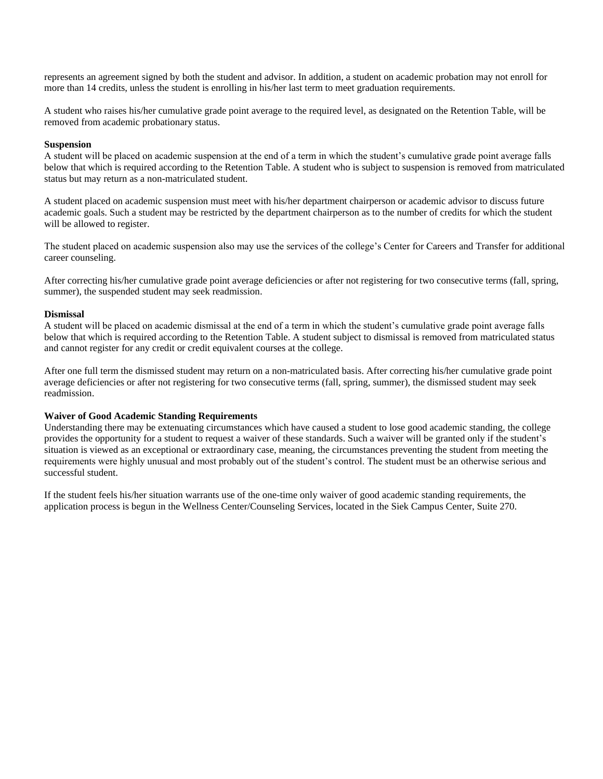represents an agreement signed by both the student and advisor. In addition, a student on academic probation may not enroll for more than 14 credits, unless the student is enrolling in his/her last term to meet graduation requirements.

A student who raises his/her cumulative grade point average to the required level, as designated on the Retention Table, will be removed from academic probationary status.

#### **Suspension**

A student will be placed on academic suspension at the end of a term in which the student's cumulative grade point average falls below that which is required according to the Retention Table. A student who is subject to suspension is removed from matriculated status but may return as a non-matriculated student.

A student placed on academic suspension must meet with his/her department chairperson or academic advisor to discuss future academic goals. Such a student may be restricted by the department chairperson as to the number of credits for which the student will be allowed to register.

The student placed on academic suspension also may use the services of the college's Center for Careers and Transfer for additional career counseling.

After correcting his/her cumulative grade point average deficiencies or after not registering for two consecutive terms (fall, spring, summer), the suspended student may seek readmission.

#### **Dismissal**

A student will be placed on academic dismissal at the end of a term in which the student's cumulative grade point average falls below that which is required according to the Retention Table. A student subject to dismissal is removed from matriculated status and cannot register for any credit or credit equivalent courses at the college.

After one full term the dismissed student may return on a non-matriculated basis. After correcting his/her cumulative grade point average deficiencies or after not registering for two consecutive terms (fall, spring, summer), the dismissed student may seek readmission.

#### **Waiver of Good Academic Standing Requirements**

Understanding there may be extenuating circumstances which have caused a student to lose good academic standing, the college provides the opportunity for a student to request a waiver of these standards. Such a waiver will be granted only if the student's situation is viewed as an exceptional or extraordinary case, meaning, the circumstances preventing the student from meeting the requirements were highly unusual and most probably out of the student's control. The student must be an otherwise serious and successful student.

If the student feels his/her situation warrants use of the one-time only waiver of good academic standing requirements, the application process is begun in the Wellness Center/Counseling Services, located in the Siek Campus Center, Suite 270.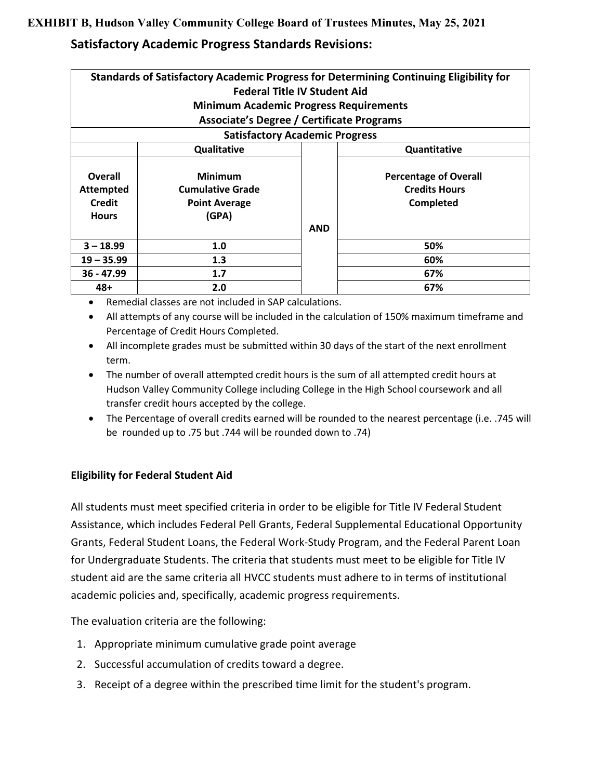### **EXHIBIT B, Hudson Valley Community College Board of Trustees Minutes, May 25, 2021**

## **Satisfactory Academic Progress Standards Revisions:**

| Standards of Satisfactory Academic Progress for Determining Continuing Eligibility for |                                                                            |  |                                                                   |  |  |
|----------------------------------------------------------------------------------------|----------------------------------------------------------------------------|--|-------------------------------------------------------------------|--|--|
|                                                                                        | <b>Federal Title IV Student Aid</b>                                        |  |                                                                   |  |  |
|                                                                                        | <b>Minimum Academic Progress Requirements</b>                              |  |                                                                   |  |  |
|                                                                                        | Associate's Degree / Certificate Programs                                  |  |                                                                   |  |  |
|                                                                                        | <b>Satisfactory Academic Progress</b>                                      |  |                                                                   |  |  |
|                                                                                        | Qualitative                                                                |  | Quantitative                                                      |  |  |
| Overall<br><b>Attempted</b><br>Credit<br><b>Hours</b>                                  | <b>Minimum</b><br><b>Cumulative Grade</b><br><b>Point Average</b><br>(GPA) |  | <b>Percentage of Overall</b><br><b>Credits Hours</b><br>Completed |  |  |
| <b>AND</b>                                                                             |                                                                            |  |                                                                   |  |  |
| $3 - 18.99$                                                                            | 1.0                                                                        |  | 50%                                                               |  |  |
| 1.3<br>60%<br>$19 - 35.99$                                                             |                                                                            |  |                                                                   |  |  |
| $36 - 47.99$                                                                           | 1.7<br>67%                                                                 |  |                                                                   |  |  |
| $48+$                                                                                  | 2.0<br>67%                                                                 |  |                                                                   |  |  |

- Remedial classes are not included in SAP calculations.
- All attempts of any course will be included in the calculation of 150% maximum timeframe and Percentage of Credit Hours Completed.
- All incomplete grades must be submitted within 30 days of the start of the next enrollment term.
- The number of overall attempted credit hours is the sum of all attempted credit hours at Hudson Valley Community College including College in the High School coursework and all transfer credit hours accepted by the college.
- The Percentage of overall credits earned will be rounded to the nearest percentage (i.e. .745 will be rounded up to .75 but .744 will be rounded down to .74)

### **Eligibility for Federal Student Aid**

All students must meet specified criteria in order to be eligible for Title IV Federal Student Assistance, which includes Federal Pell Grants, Federal Supplemental Educational Opportunity Grants, Federal Student Loans, the Federal Work-Study Program, and the Federal Parent Loan for Undergraduate Students. The criteria that students must meet to be eligible for Title IV student aid are the same criteria all HVCC students must adhere to in terms of institutional academic policies and, specifically, academic progress requirements.

The evaluation criteria are the following:

- 1. Appropriate minimum cumulative grade point average
- 2. Successful accumulation of credits toward a degree.
- 3. Receipt of a degree within the prescribed time limit for the student's program.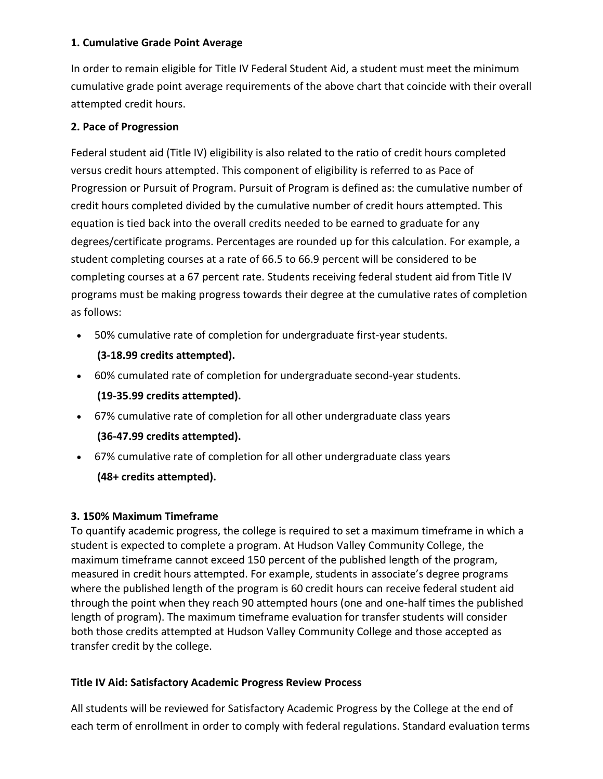### **1. Cumulative Grade Point Average**

In order to remain eligible for Title IV Federal Student Aid, a student must meet the minimum cumulative grade point average requirements of the above chart that coincide with their overall attempted credit hours.

### **2. Pace of Progression**

Federal student aid (Title IV) eligibility is also related to the ratio of credit hours completed versus credit hours attempted. This component of eligibility is referred to as Pace of Progression or Pursuit of Program. Pursuit of Program is defined as: the cumulative number of credit hours completed divided by the cumulative number of credit hours attempted. This equation is tied back into the overall credits needed to be earned to graduate for any degrees/certificate programs. Percentages are rounded up for this calculation. For example, a student completing courses at a rate of 66.5 to 66.9 percent will be considered to be completing courses at a 67 percent rate. Students receiving federal student aid from Title IV programs must be making progress towards their degree at the cumulative rates of completion as follows:

• 50% cumulative rate of completion for undergraduate first-year students.

### **(3-18.99 credits attempted).**

- 60% cumulated rate of completion for undergraduate second-year students. **(19-35.99 credits attempted).**
- 67% cumulative rate of completion for all other undergraduate class years

### **(36-47.99 credits attempted).**

• 67% cumulative rate of completion for all other undergraduate class years **(48+ credits attempted).**

### **3. 150% Maximum Timeframe**

To quantify academic progress, the college is required to set a maximum timeframe in which a student is expected to complete a program. At Hudson Valley Community College, the maximum timeframe cannot exceed 150 percent of the published length of the program, measured in credit hours attempted. For example, students in associate's degree programs where the published length of the program is 60 credit hours can receive federal student aid through the point when they reach 90 attempted hours (one and one-half times the published length of program). The maximum timeframe evaluation for transfer students will consider both those credits attempted at Hudson Valley Community College and those accepted as transfer credit by the college.

### **Title IV Aid: Satisfactory Academic Progress Review Process**

All students will be reviewed for Satisfactory Academic Progress by the College at the end of each term of enrollment in order to comply with federal regulations. Standard evaluation terms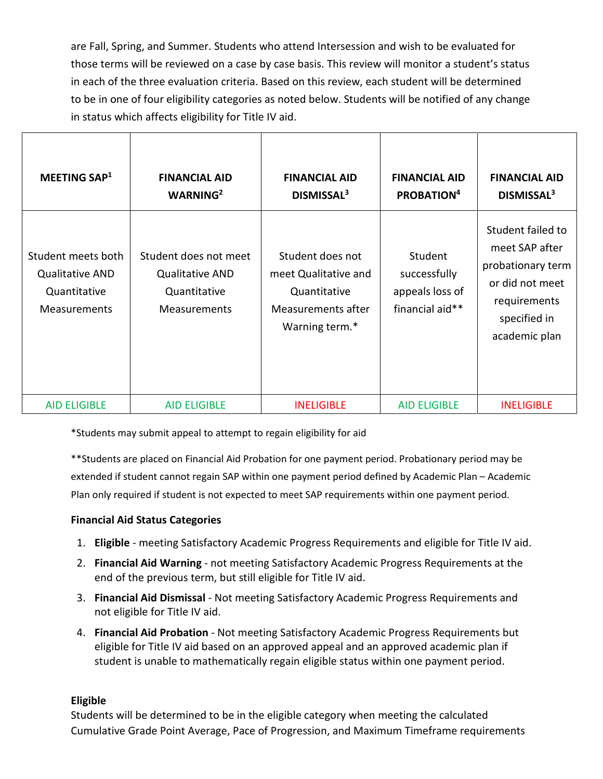are Fall, Spring, and Summer. Students who attend Intersession and wish to be evaluated for those terms will be reviewed on a case by case basis. This review will monitor a student's status in each of the three evaluation criteria. Based on this review, each student will be determined to be in one of four eligibility categories as noted below. Students will be notified of any change in status which affects eligibility for Title IV aid.

| MEETING SAP <sup>1</sup>                                                            | <b>FINANCIAL AID</b><br>WARNING <sup>2</sup>                                           | <b>FINANCIAL AID</b><br>DISMISSAL <sup>3</sup>                                                   | <b>FINANCIAL AID</b><br>PROBATION <sup>4</sup>                | <b>FINANCIAL AID</b><br>DISMISSAL <sup>3</sup>                                                                               |
|-------------------------------------------------------------------------------------|----------------------------------------------------------------------------------------|--------------------------------------------------------------------------------------------------|---------------------------------------------------------------|------------------------------------------------------------------------------------------------------------------------------|
| Student meets both<br><b>Qualitative AND</b><br>Quantitative<br><b>Measurements</b> | Student does not meet<br><b>Qualitative AND</b><br>Quantitative<br><b>Measurements</b> | Student does not<br>meet Qualitative and<br>Quantitative<br>Measurements after<br>Warning term.* | Student<br>successfully<br>appeals loss of<br>financial aid** | Student failed to<br>meet SAP after<br>probationary term<br>or did not meet<br>requirements<br>specified in<br>academic plan |
| <b>AID ELIGIBLE</b>                                                                 | <b>AID ELIGIBLE</b>                                                                    | <b>INELIGIBLE</b>                                                                                | <b>AID ELIGIBLE</b>                                           | <b>INELIGIBLE</b>                                                                                                            |

\*Students may submit appeal to attempt to regain eligibility for aid

\*\*Students are placed on Financial Aid Probation for one payment period. Probationary period may be extended if student cannot regain SAP within one payment period defined by Academic Plan – Academic Plan only required if student is not expected to meet SAP requirements within one payment period.

### **Financial Aid Status Categories**

- 1. **Eligible**  meeting Satisfactory Academic Progress Requirements and eligible for Title IV aid.
- 2. **Financial Aid Warning** not meeting Satisfactory Academic Progress Requirements at the end of the previous term, but still eligible for Title IV aid.
- 3. **Financial Aid Dismissal** Not meeting Satisfactory Academic Progress Requirements and not eligible for Title IV aid.
- 4. **Financial Aid Probation** Not meeting Satisfactory Academic Progress Requirements but eligible for Title IV aid based on an approved appeal and an approved academic plan if student is unable to mathematically regain eligible status within one payment period.

### **Eligible**

Students will be determined to be in the eligible category when meeting the calculated Cumulative Grade Point Average, Pace of Progression, and Maximum Timeframe requirements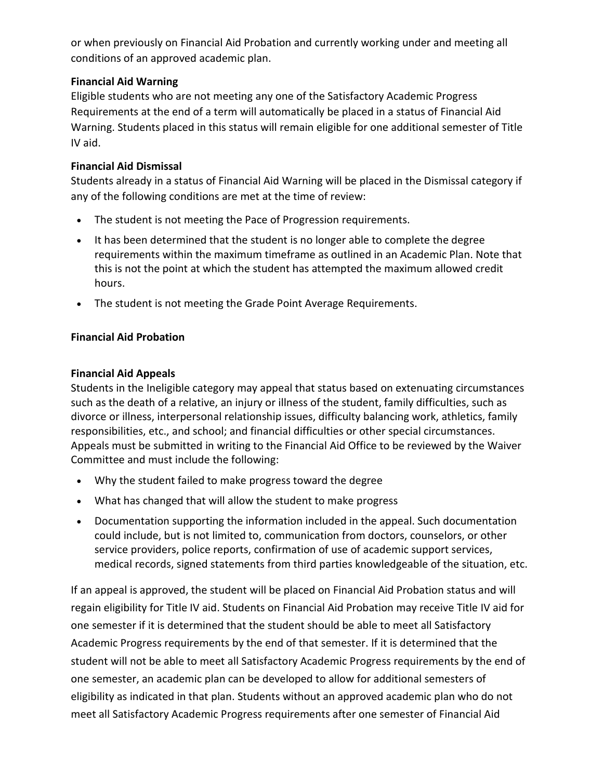or when previously on Financial Aid Probation and currently working under and meeting all conditions of an approved academic plan.

### **Financial Aid Warning**

Eligible students who are not meeting any one of the Satisfactory Academic Progress Requirements at the end of a term will automatically be placed in a status of Financial Aid Warning. Students placed in this status will remain eligible for one additional semester of Title IV aid.

### **Financial Aid Dismissal**

Students already in a status of Financial Aid Warning will be placed in the Dismissal category if any of the following conditions are met at the time of review:

- The student is not meeting the Pace of Progression requirements.
- It has been determined that the student is no longer able to complete the degree requirements within the maximum timeframe as outlined in an Academic Plan. Note that this is not the point at which the student has attempted the maximum allowed credit hours.
- The student is not meeting the Grade Point Average Requirements.

### **Financial Aid Probation**

### **Financial Aid Appeals**

Students in the Ineligible category may appeal that status based on extenuating circumstances such as the death of a relative, an injury or illness of the student, family difficulties, such as divorce or illness, interpersonal relationship issues, difficulty balancing work, athletics, family responsibilities, etc., and school; and financial difficulties or other special circumstances. Appeals must be submitted in writing to the Financial Aid Office to be reviewed by the Waiver Committee and must include the following:

- Why the student failed to make progress toward the degree
- What has changed that will allow the student to make progress
- Documentation supporting the information included in the appeal. Such documentation could include, but is not limited to, communication from doctors, counselors, or other service providers, police reports, confirmation of use of academic support services, medical records, signed statements from third parties knowledgeable of the situation, etc.

If an appeal is approved, the student will be placed on Financial Aid Probation status and will regain eligibility for Title IV aid. Students on Financial Aid Probation may receive Title IV aid for one semester if it is determined that the student should be able to meet all Satisfactory Academic Progress requirements by the end of that semester. If it is determined that the student will not be able to meet all Satisfactory Academic Progress requirements by the end of one semester, an academic plan can be developed to allow for additional semesters of eligibility as indicated in that plan. Students without an approved academic plan who do not meet all Satisfactory Academic Progress requirements after one semester of Financial Aid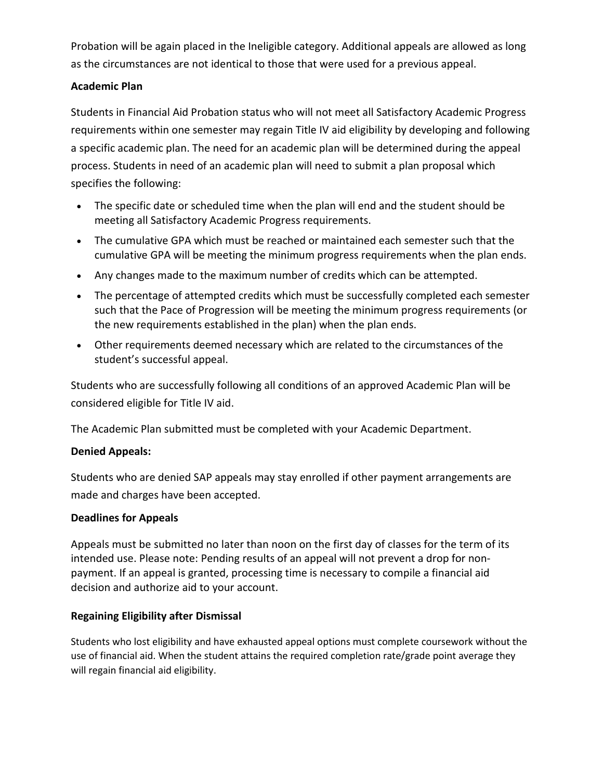Probation will be again placed in the Ineligible category. Additional appeals are allowed as long as the circumstances are not identical to those that were used for a previous appeal.

### **Academic Plan**

Students in Financial Aid Probation status who will not meet all Satisfactory Academic Progress requirements within one semester may regain Title IV aid eligibility by developing and following a specific academic plan. The need for an academic plan will be determined during the appeal process. Students in need of an academic plan will need to submit a plan proposal which specifies the following:

- The specific date or scheduled time when the plan will end and the student should be meeting all Satisfactory Academic Progress requirements.
- The cumulative GPA which must be reached or maintained each semester such that the cumulative GPA will be meeting the minimum progress requirements when the plan ends.
- Any changes made to the maximum number of credits which can be attempted.
- The percentage of attempted credits which must be successfully completed each semester such that the Pace of Progression will be meeting the minimum progress requirements (or the new requirements established in the plan) when the plan ends.
- Other requirements deemed necessary which are related to the circumstances of the student's successful appeal.

Students who are successfully following all conditions of an approved Academic Plan will be considered eligible for Title IV aid.

The Academic Plan submitted must be completed with your Academic Department.

### **Denied Appeals:**

Students who are denied SAP appeals may stay enrolled if other payment arrangements are made and charges have been accepted.

### **Deadlines for Appeals**

Appeals must be submitted no later than noon on the first day of classes for the term of its intended use. Please note: Pending results of an appeal will not prevent a drop for nonpayment. If an appeal is granted, processing time is necessary to compile a financial aid decision and authorize aid to your account.

### **Regaining Eligibility after Dismissal**

Students who lost eligibility and have exhausted appeal options must complete coursework without the use of financial aid. When the student attains the required completion rate/grade point average they will regain financial aid eligibility.